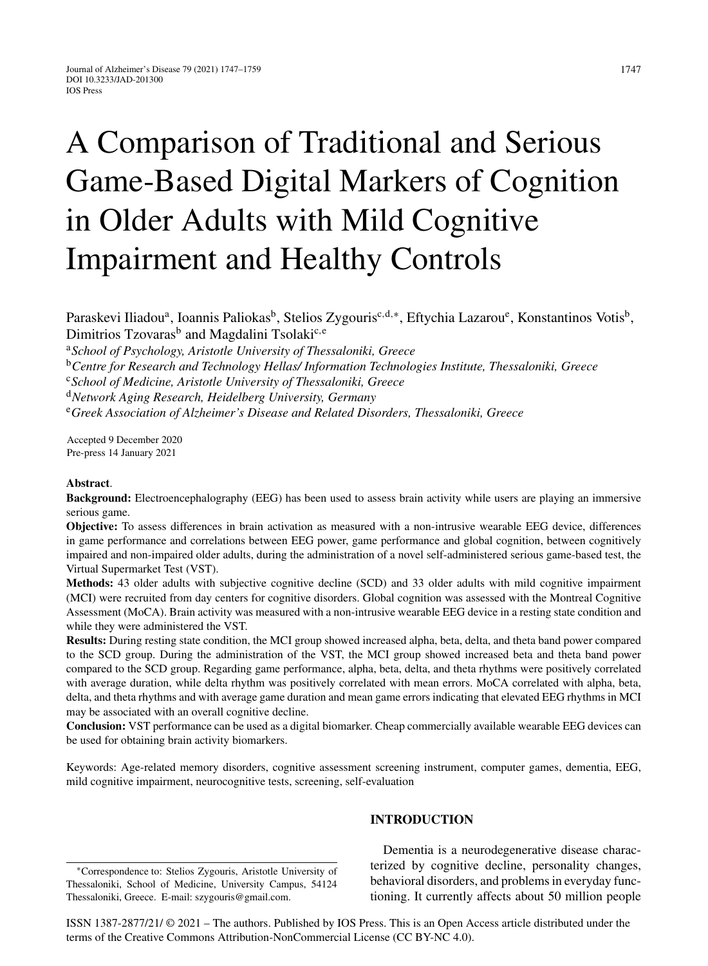# A Comparison of Traditional and Serious Game-Based Digital Markers of Cognition in Older Adults with Mild Cognitive Impairment and Healthy Controls

Paraskevi Iliadou<sup>a</sup>, Ioannis Paliokas<sup>b</sup>, Stelios Zygouris<sup>c,d,∗</sup>, Eftychia Lazarou<sup>e</sup>, Konstantinos Votis<sup>b</sup>, Dimitrios Tzovaras<sup>b</sup> and Magdalini Tsolaki<sup>c,e</sup>

<sup>a</sup>*School of Psychology, Aristotle University of Thessaloniki, Greece*

<sup>b</sup>*Centre for Research and Technology Hellas/ Information Technologies Institute, Thessaloniki, Greece*

<sup>c</sup>*School of Medicine, Aristotle University of Thessaloniki, Greece*

<sup>d</sup>*Network Aging Research, Heidelberg University, Germany*

<sup>e</sup>*Greek Association of Alzheimer's Disease and Related Disorders, Thessaloniki, Greece*

Accepted 9 December 2020 Pre-press 14 January 2021

## **Abstract**.

**Background:** Electroencephalography (EEG) has been used to assess brain activity while users are playing an immersive serious game.

**Objective:** To assess differences in brain activation as measured with a non-intrusive wearable EEG device, differences in game performance and correlations between EEG power, game performance and global cognition, between cognitively impaired and non-impaired older adults, during the administration of a novel self-administered serious game-based test, the Virtual Supermarket Test (VST).

**Methods:** 43 older adults with subjective cognitive decline (SCD) and 33 older adults with mild cognitive impairment (MCI) were recruited from day centers for cognitive disorders. Global cognition was assessed with the Montreal Cognitive Assessment (MoCA). Brain activity was measured with a non-intrusive wearable EEG device in a resting state condition and while they were administered the VST.

**Results:** During resting state condition, the MCI group showed increased alpha, beta, delta, and theta band power compared to the SCD group. During the administration of the VST, the MCI group showed increased beta and theta band power compared to the SCD group. Regarding game performance, alpha, beta, delta, and theta rhythms were positively correlated with average duration, while delta rhythm was positively correlated with mean errors. MoCA correlated with alpha, beta, delta, and theta rhythms and with average game duration and mean game errors indicating that elevated EEG rhythms in MCI may be associated with an overall cognitive decline.

**Conclusion:** VST performance can be used as a digital biomarker. Cheap commercially available wearable EEG devices can be used for obtaining brain activity biomarkers.

Keywords: Age-related memory disorders, cognitive assessment screening instrument, computer games, dementia, EEG, mild cognitive impairment, neurocognitive tests, screening, self-evaluation

#### ∗Correspondence to: Stelios Zygouris, Aristotle University of Thessaloniki, School of Medicine, University Campus, 54124 Thessaloniki, Greece. E-mail: [szygouris@gmail.com.](mailto:szygouris@gmail.com)

# **INTRODUCTION**

Dementia is a neurodegenerative disease characterized by cognitive decline, personality changes, behavioral disorders, and problems in everyday functioning. It currently affects about 50 million people

ISSN 1387-2877/21/ © 2021 – The authors. Published by IOS Press. This is an Open Access article distributed under the terms of the [Creative Commons Attribution-NonCommercial License \(CC BY-NC 4.0\).](https://creativecommons.org/licenses/by-nc/4.0/)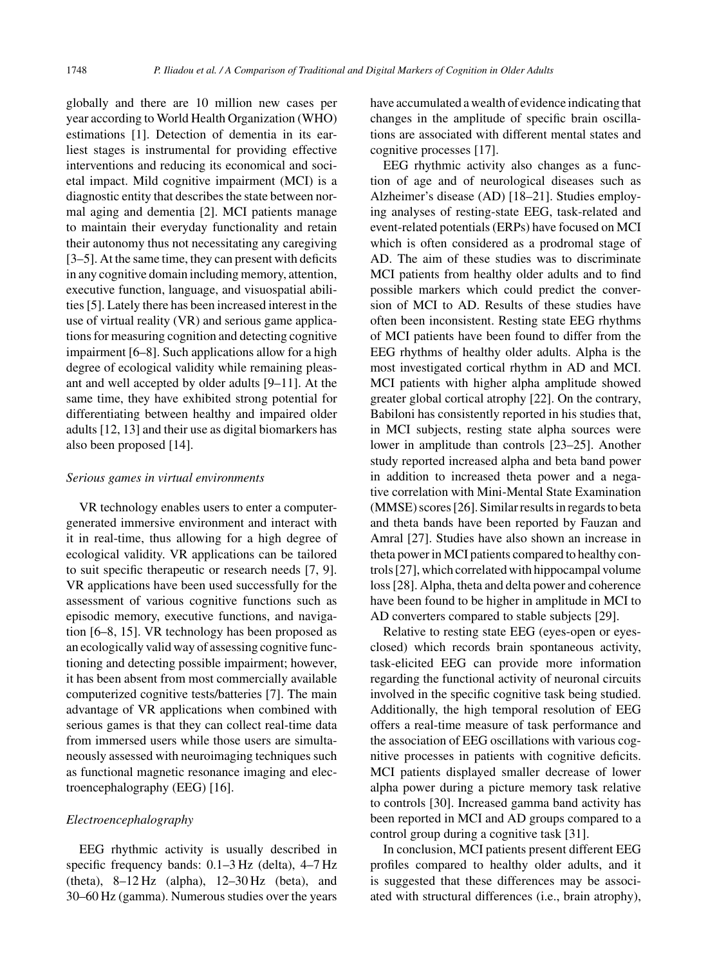globally and there are 10 million new cases per year according to World Health Organization (WHO) estimations [1]. Detection of dementia in its earliest stages is instrumental for providing effective interventions and reducing its economical and societal impact. Mild cognitive impairment (MCI) is a diagnostic entity that describes the state between normal aging and dementia [2]. MCI patients manage to maintain their everyday functionality and retain their autonomy thus not necessitating any caregiving [3–5]. At the same time, they can present with deficits in any cognitive domain including memory, attention, executive function, language, and visuospatial abilities [5]. Lately there has been increased interest in the use of virtual reality (VR) and serious game applications for measuring cognition and detecting cognitive impairment [6–8]. Such applications allow for a high degree of ecological validity while remaining pleasant and well accepted by older adults [9–11]. At the same time, they have exhibited strong potential for differentiating between healthy and impaired older adults [12, 13] and their use as digital biomarkers has also been proposed [14].

#### *Serious games in virtual environments*

VR technology enables users to enter a computergenerated immersive environment and interact with it in real-time, thus allowing for a high degree of ecological validity. VR applications can be tailored to suit specific therapeutic or research needs [7, 9]. VR applications have been used successfully for the assessment of various cognitive functions such as episodic memory, executive functions, and navigation [6–8, 15]. VR technology has been proposed as an ecologically valid way of assessing cognitive functioning and detecting possible impairment; however, it has been absent from most commercially available computerized cognitive tests/batteries [7]. The main advantage of VR applications when combined with serious games is that they can collect real-time data from immersed users while those users are simultaneously assessed with neuroimaging techniques such as functional magnetic resonance imaging and electroencephalography (EEG) [16].

# *Electroencephalography*

EEG rhythmic activity is usually described in specific frequency bands: 0.1–3 Hz (delta), 4–7 Hz (theta), 8–12 Hz (alpha), 12–30 Hz (beta), and 30–60 Hz (gamma). Numerous studies over the years

have accumulated a wealth of evidence indicating that changes in the amplitude of specific brain oscillations are associated with different mental states and cognitive processes [17].

EEG rhythmic activity also changes as a function of age and of neurological diseases such as Alzheimer's disease (AD) [18–21]. Studies employing analyses of resting-state EEG, task-related and event-related potentials (ERPs) have focused on MCI which is often considered as a prodromal stage of AD. The aim of these studies was to discriminate MCI patients from healthy older adults and to find possible markers which could predict the conversion of MCI to AD. Results of these studies have often been inconsistent. Resting state EEG rhythms of MCI patients have been found to differ from the EEG rhythms of healthy older adults. Alpha is the most investigated cortical rhythm in AD and MCI. MCI patients with higher alpha amplitude showed greater global cortical atrophy [22]. On the contrary, Babiloni has consistently reported in his studies that, in MCI subjects, resting state alpha sources were lower in amplitude than controls [23–25]. Another study reported increased alpha and beta band power in addition to increased theta power and a negative correlation with Mini-Mental State Examination (MMSE) scores [26]. Similar results in regards to beta and theta bands have been reported by Fauzan and Amral [27]. Studies have also shown an increase in theta power in MCI patients compared to healthy controls [27], which correlated with hippocampal volume loss [28]. Alpha, theta and delta power and coherence have been found to be higher in amplitude in MCI to AD converters compared to stable subjects [29].

Relative to resting state EEG (eyes-open or eyesclosed) which records brain spontaneous activity, task-elicited EEG can provide more information regarding the functional activity of neuronal circuits involved in the specific cognitive task being studied. Additionally, the high temporal resolution of EEG offers a real-time measure of task performance and the association of EEG oscillations with various cognitive processes in patients with cognitive deficits. MCI patients displayed smaller decrease of lower alpha power during a picture memory task relative to controls [30]. Increased gamma band activity has been reported in MCI and AD groups compared to a control group during a cognitive task [31].

In conclusion, MCI patients present different EEG profiles compared to healthy older adults, and it is suggested that these differences may be associated with structural differences (i.e., brain atrophy),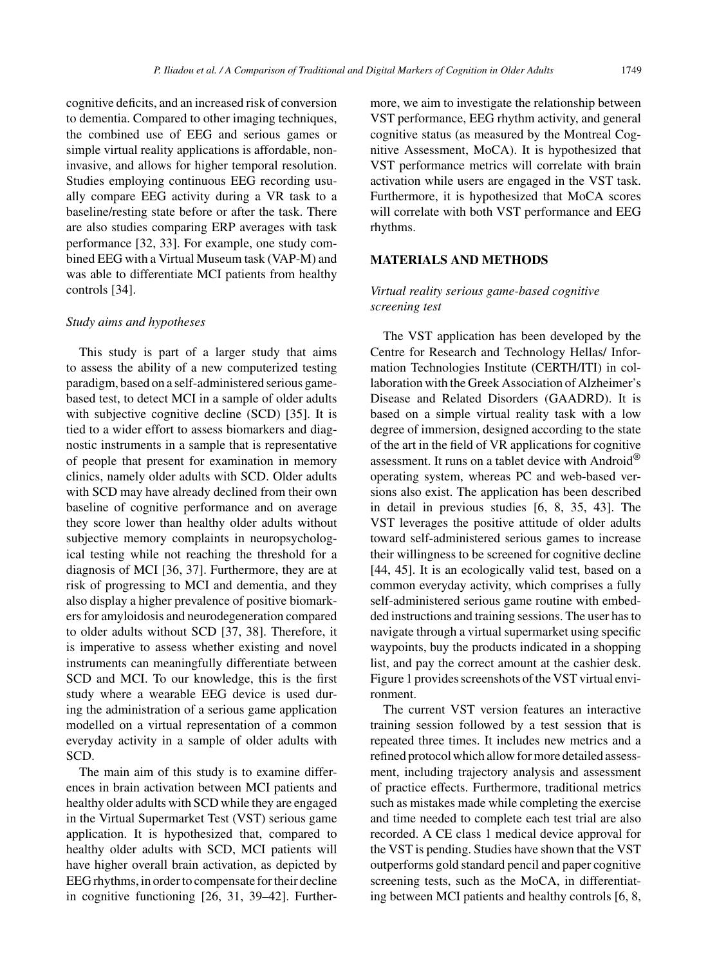cognitive deficits, and an increased risk of conversion to dementia. Compared to other imaging techniques, the combined use of EEG and serious games or simple virtual reality applications is affordable, non-

invasive, and allows for higher temporal resolution. Studies employing continuous EEG recording usually compare EEG activity during a VR task to a baseline/resting state before or after the task. There are also studies comparing ERP averages with task performance [32, 33]. For example, one study combined EEG with a Virtual Museum task (VAP-M) and was able to differentiate MCI patients from healthy controls [34].

# *Study aims and hypotheses*

This study is part of a larger study that aims to assess the ability of a new computerized testing paradigm, based on a self-administered serious gamebased test, to detect MCI in a sample of older adults with subjective cognitive decline (SCD) [35]. It is tied to a wider effort to assess biomarkers and diagnostic instruments in a sample that is representative of people that present for examination in memory clinics, namely older adults with SCD. Older adults with SCD may have already declined from their own baseline of cognitive performance and on average they score lower than healthy older adults without subjective memory complaints in neuropsychological testing while not reaching the threshold for a diagnosis of MCI [36, 37]. Furthermore, they are at risk of progressing to MCI and dementia, and they also display a higher prevalence of positive biomarkers for amyloidosis and neurodegeneration compared to older adults without SCD [37, 38]. Therefore, it is imperative to assess whether existing and novel instruments can meaningfully differentiate between SCD and MCI. To our knowledge, this is the first study where a wearable EEG device is used during the administration of a serious game application modelled on a virtual representation of a common everyday activity in a sample of older adults with SCD.

The main aim of this study is to examine differences in brain activation between MCI patients and healthy older adults with SCD while they are engaged in the Virtual Supermarket Test (VST) serious game application. It is hypothesized that, compared to healthy older adults with SCD, MCI patients will have higher overall brain activation, as depicted by EEG rhythms, in order to compensate for their decline in cognitive functioning [26, 31, 39–42]. Furthermore, we aim to investigate the relationship between VST performance, EEG rhythm activity, and general cognitive status (as measured by the Montreal Cognitive Assessment, MoCA). It is hypothesized that VST performance metrics will correlate with brain activation while users are engaged in the VST task. Furthermore, it is hypothesized that MoCA scores will correlate with both VST performance and EEG rhythms.

# **MATERIALS AND METHODS**

# *Virtual reality serious game-based cognitive screening test*

The VST application has been developed by the Centre for Research and Technology Hellas/ Information Technologies Institute (CERTH/ITI) in collaboration with the Greek Association of Alzheimer's Disease and Related Disorders (GAADRD). It is based on a simple virtual reality task with a low degree of immersion, designed according to the state of the art in the field of VR applications for cognitive assessment. It runs on a tablet device with Android® operating system, whereas PC and web-based versions also exist. The application has been described in detail in previous studies [6, 8, 35, 43]. The VST leverages the positive attitude of older adults toward self-administered serious games to increase their willingness to be screened for cognitive decline [44, 45]. It is an ecologically valid test, based on a common everyday activity, which comprises a fully self-administered serious game routine with embedded instructions and training sessions. The user has to navigate through a virtual supermarket using specific waypoints, buy the products indicated in a shopping list, and pay the correct amount at the cashier desk. Figure 1 provides screenshots of the VST virtual environment.

The current VST version features an interactive training session followed by a test session that is repeated three times. It includes new metrics and a refined protocol which allow for more detailed assessment, including trajectory analysis and assessment of practice effects. Furthermore, traditional metrics such as mistakes made while completing the exercise and time needed to complete each test trial are also recorded. A CE class 1 medical device approval for the VST is pending. Studies have shown that the VST outperforms gold standard pencil and paper cognitive screening tests, such as the MoCA, in differentiating between MCI patients and healthy controls [6, 8,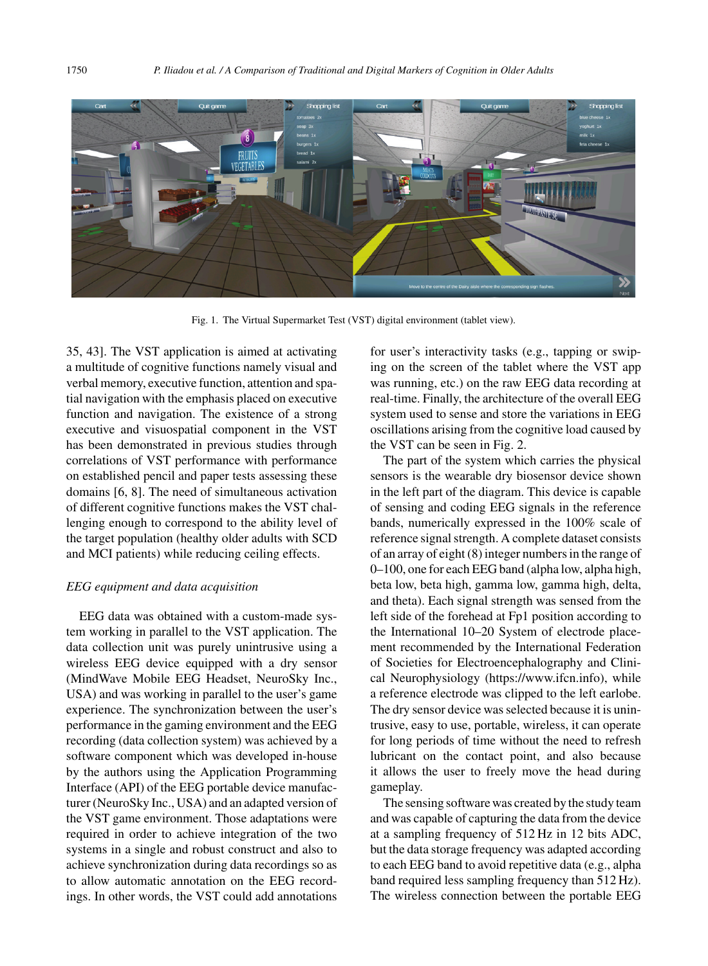

Fig. 1. The Virtual Supermarket Test (VST) digital environment (tablet view).

35, 43]. The VST application is aimed at activating a multitude of cognitive functions namely visual and verbal memory, executive function, attention and spatial navigation with the emphasis placed on executive function and navigation. The existence of a strong executive and visuospatial component in the VST has been demonstrated in previous studies through correlations of VST performance with performance on established pencil and paper tests assessing these domains [6, 8]. The need of simultaneous activation of different cognitive functions makes the VST challenging enough to correspond to the ability level of the target population (healthy older adults with SCD and MCI patients) while reducing ceiling effects.

#### *EEG equipment and data acquisition*

EEG data was obtained with a custom-made system working in parallel to the VST application. The data collection unit was purely unintrusive using a wireless EEG device equipped with a dry sensor (MindWave Mobile EEG Headset, NeuroSky Inc., USA) and was working in parallel to the user's game experience. The synchronization between the user's performance in the gaming environment and the EEG recording (data collection system) was achieved by a software component which was developed in-house by the authors using the Application Programming Interface (API) of the EEG portable device manufacturer (NeuroSky Inc., USA) and an adapted version of the VST game environment. Those adaptations were required in order to achieve integration of the two systems in a single and robust construct and also to achieve synchronization during data recordings so as to allow automatic annotation on the EEG recordings. In other words, the VST could add annotations

for user's interactivity tasks (e.g., tapping or swiping on the screen of the tablet where the VST app was running, etc.) on the raw EEG data recording at real-time. Finally, the architecture of the overall EEG system used to sense and store the variations in EEG oscillations arising from the cognitive load caused by the VST can be seen in Fig. 2.

The part of the system which carries the physical sensors is the wearable dry biosensor device shown in the left part of the diagram. This device is capable of sensing and coding EEG signals in the reference bands, numerically expressed in the 100% scale of reference signal strength. A complete dataset consists of an array of eight (8) integer numbers in the range of 0–100, one for each EEG band (alpha low, alpha high, beta low, beta high, gamma low, gamma high, delta, and theta). Each signal strength was sensed from the left side of the forehead at Fp1 position according to the International 10–20 System of electrode placement recommended by the International Federation of Societies for Electroencephalography and Clinical Neurophysiology [\(https://www.ifcn.info\)](https://www.ifcn.info), while a reference electrode was clipped to the left earlobe. The dry sensor device was selected because it is unintrusive, easy to use, portable, wireless, it can operate for long periods of time without the need to refresh lubricant on the contact point, and also because it allows the user to freely move the head during gameplay.

The sensing software was created by the study team and was capable of capturing the data from the device at a sampling frequency of 512 Hz in 12 bits ADC, but the data storage frequency was adapted according to each EEG band to avoid repetitive data (e.g., alpha band required less sampling frequency than 512 Hz). The wireless connection between the portable EEG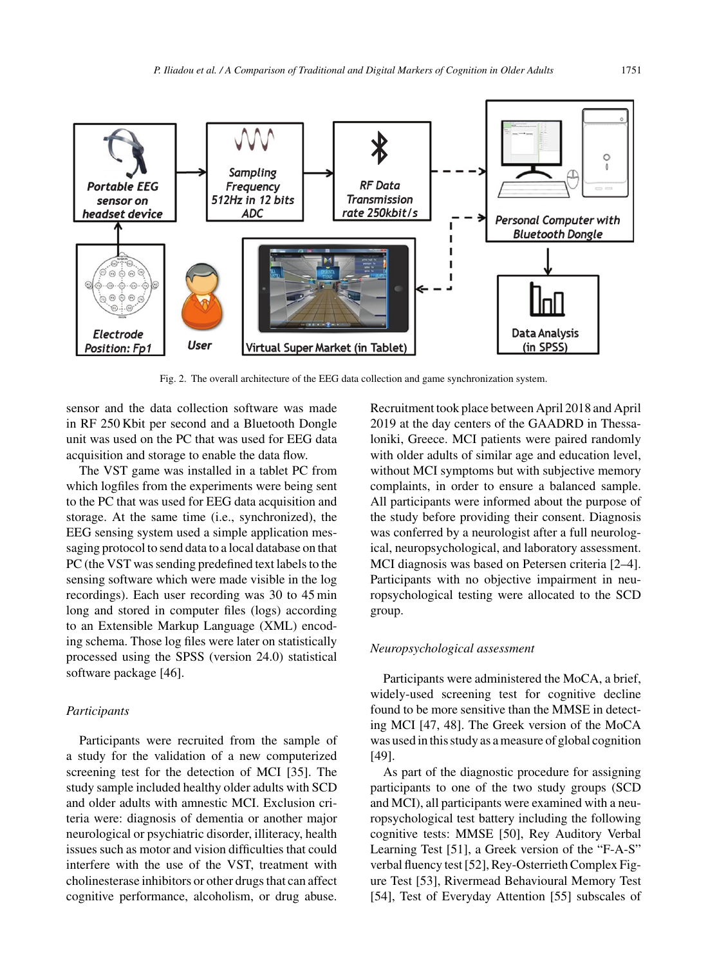

Fig. 2. The overall architecture of the EEG data collection and game synchronization system.

sensor and the data collection software was made in RF 250 Kbit per second and a Bluetooth Dongle unit was used on the PC that was used for EEG data acquisition and storage to enable the data flow.

The VST game was installed in a tablet PC from which logfiles from the experiments were being sent to the PC that was used for EEG data acquisition and storage. At the same time (i.e., synchronized), the EEG sensing system used a simple application messaging protocol to send data to a local database on that PC (the VST was sending predefined text labels to the sensing software which were made visible in the log recordings). Each user recording was 30 to 45 min long and stored in computer files (logs) according to an Extensible Markup Language (XML) encoding schema. Those log files were later on statistically processed using the SPSS (version 24.0) statistical software package [46].

#### *Participants*

Participants were recruited from the sample of a study for the validation of a new computerized screening test for the detection of MCI [35]. The study sample included healthy older adults with SCD and older adults with amnestic MCI. Exclusion criteria were: diagnosis of dementia or another major neurological or psychiatric disorder, illiteracy, health issues such as motor and vision difficulties that could interfere with the use of the VST, treatment with cholinesterase inhibitors or other drugs that can affect cognitive performance, alcoholism, or drug abuse.

Recruitment took place between April 2018 and April 2019 at the day centers of the GAADRD in Thessaloniki, Greece. MCI patients were paired randomly with older adults of similar age and education level, without MCI symptoms but with subjective memory complaints, in order to ensure a balanced sample. All participants were informed about the purpose of the study before providing their consent. Diagnosis was conferred by a neurologist after a full neurological, neuropsychological, and laboratory assessment. MCI diagnosis was based on Petersen criteria [2–4]. Participants with no objective impairment in neuropsychological testing were allocated to the SCD group.

#### *Neuropsychological assessment*

Participants were administered the MoCA, a brief, widely-used screening test for cognitive decline found to be more sensitive than the MMSE in detecting MCI [47, 48]. The Greek version of the MoCA was used in this study as a measure of global cognition [49].

As part of the diagnostic procedure for assigning participants to one of the two study groups (SCD and MCI), all participants were examined with a neuropsychological test battery including the following cognitive tests: MMSE [50], Rey Auditory Verbal Learning Test [51], a Greek version of the "F-A-S" verbal fluency test [52], Rey-Osterrieth Complex Figure Test [53], Rivermead Behavioural Memory Test [54], Test of Everyday Attention [55] subscales of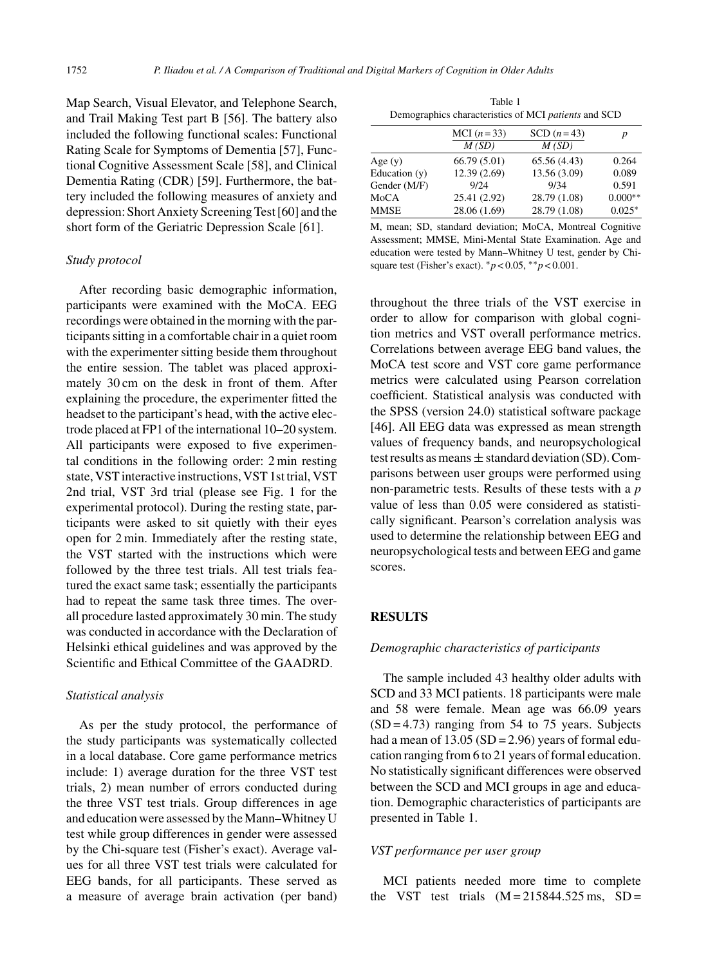Map Search, Visual Elevator, and Telephone Search, and Trail Making Test part B [56]. The battery also included the following functional scales: Functional Rating Scale for Symptoms of Dementia [57], Functional Cognitive Assessment Scale [58], and Clinical Dementia Rating (CDR) [59]. Furthermore, the battery included the following measures of anxiety and depression: Short Anxiety Screening Test [60] and the short form of the Geriatric Depression Scale [61].

#### *Study protocol*

After recording basic demographic information, participants were examined with the MoCA. EEG recordings were obtained in the morning with the participants sitting in a comfortable chair in a quiet room with the experimenter sitting beside them throughout the entire session. The tablet was placed approximately 30 cm on the desk in front of them. After explaining the procedure, the experimenter fitted the headset to the participant's head, with the active electrode placed at FP1 of the international 10–20 system. All participants were exposed to five experimental conditions in the following order: 2 min resting state, VST interactive instructions, VST 1st trial, VST 2nd trial, VST 3rd trial (please see Fig. 1 for the experimental protocol). During the resting state, participants were asked to sit quietly with their eyes open for 2 min. Immediately after the resting state, the VST started with the instructions which were followed by the three test trials. All test trials featured the exact same task; essentially the participants had to repeat the same task three times. The overall procedure lasted approximately 30 min. The study was conducted in accordance with the Declaration of Helsinki ethical guidelines and was approved by the Scientific and Ethical Committee of the GAADRD.

#### *Statistical analysis*

As per the study protocol, the performance of the study participants was systematically collected in a local database. Core game performance metrics include: 1) average duration for the three VST test trials, 2) mean number of errors conducted during the three VST test trials. Group differences in age and education were assessed by the Mann–Whitney U test while group differences in gender were assessed by the Chi-square test (Fisher's exact). Average values for all three VST test trials were calculated for EEG bands, for all participants. These served as a measure of average brain activation (per band)

Table 1 Demographics characteristics of MCI *patients* and SCD

|               | MCI $(n=33)$<br>M(SD) | SCD $(n=43)$<br>M(SD) | p         |  |
|---------------|-----------------------|-----------------------|-----------|--|
| Age(y)        | 66.79 (5.01)          | 65.56(4.43)           | 0.264     |  |
| Education (y) | 12.39 (2.69)          | 13.56 (3.09)          | 0.089     |  |
| Gender (M/F)  | 9/24                  | 9/34                  | 0.591     |  |
| MoCA          | 25.41 (2.92)          | 28.79 (1.08)          | $0.000**$ |  |
| MMSE          | 28.06 (1.69)          | 28.79 (1.08)          | $0.025*$  |  |
|               |                       |                       |           |  |

M, mean; SD, standard deviation; MoCA, Montreal Cognitive Assessment; MMSE, Mini-Mental State Examination. Age and education were tested by Mann–Whitney U test, gender by Chisquare test (Fisher's exact). ∗*p* < 0.05, ∗∗*p* < 0.001.

throughout the three trials of the VST exercise in order to allow for comparison with global cognition metrics and VST overall performance metrics. Correlations between average EEG band values, the MoCA test score and VST core game performance metrics were calculated using Pearson correlation coefficient. Statistical analysis was conducted with the SPSS (version 24.0) statistical software package [46]. All EEG data was expressed as mean strength values of frequency bands, and neuropsychological test results as means  $\pm$  standard deviation (SD). Comparisons between user groups were performed using non-parametric tests. Results of these tests with a *p* value of less than 0.05 were considered as statistically significant. Pearson's correlation analysis was used to determine the relationship between EEG and neuropsychological tests and between EEG and game scores.

## **RESULTS**

## *Demographic characteristics of participants*

The sample included 43 healthy older adults with SCD and 33 MCI patients. 18 participants were male and 58 were female. Mean age was 66.09 years  $(SD = 4.73)$  ranging from 54 to 75 years. Subjects had a mean of  $13.05$  (SD = 2.96) years of formal education ranging from 6 to 21 years of formal education. No statistically significant differences were observed between the SCD and MCI groups in age and education. Demographic characteristics of participants are presented in Table 1.

# *VST performance per user group*

MCI patients needed more time to complete the VST test trials  $(M = 215844.525 \text{ ms}, SD =$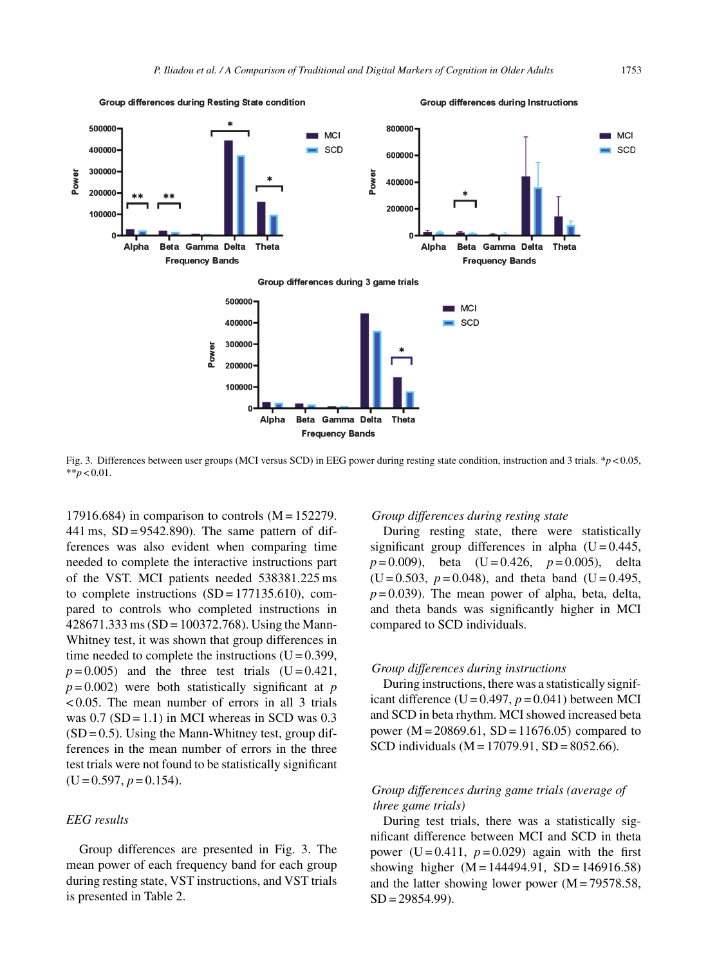

Fig. 3. Differences between user groups (MCI versus SCD) in EEG power during resting state condition, instruction and 3 trials. \**p* < 0.05,  $*$ *\*p* < 0.01.

17916.684) in comparison to controls  $(M = 152279$ . 441 ms,  $SD = 9542.890$ . The same pattern of differences was also evident when comparing time needed to complete the interactive instructions part of the VST. MCI patients needed 538381.225 ms to complete instructions  $(SD = 177135.610)$ , compared to controls who completed instructions in  $428671.333 \text{ ms}$  (SD = 100372.768). Using the Mann-Whitney test, it was shown that group differences in time needed to complete the instructions  $(U = 0.399)$ ,  $p=0.005$ ) and the three test trials (U = 0.421,  $p = 0.002$ ) were both statistically significant at *p* < 0.05. The mean number of errors in all 3 trials was  $0.7$  (SD = 1.1) in MCI whereas in SCD was  $0.3$  $(SD = 0.5)$ . Using the Mann-Whitney test, group differences in the mean number of errors in the three test trials were not found to be statistically significant  $(U = 0.597, p = 0.154)$ .

# *EEG results*

Group differences are presented in Fig. 3. The mean power of each frequency band for each group during resting state, VST instructions, and VST trials is presented in Table 2.

#### *Group differences during resting state*

During resting state, there were statistically significant group differences in alpha  $(U = 0.445)$ , *p* = 0.009), beta (U = 0.426, *p* = 0.005), delta  $(U = 0.503, p = 0.048)$ , and theta band  $(U = 0.495,$  $p = 0.039$ ). The mean power of alpha, beta, delta, and theta bands was significantly higher in MCI compared to SCD individuals.

#### *Group differences during instructions*

During instructions, there was a statistically significant difference ( $U = 0.497$ ,  $p = 0.041$ ) between MCI and SCD in beta rhythm. MCI showed increased beta power ( $M = 20869.61$ ,  $SD = 11676.05$ ) compared to SCD individuals (M = 17079.91, SD = 8052.66).

# *Group differences during game trials (average of three game trials)*

During test trials, there was a statistically significant difference between MCI and SCD in theta power (U =  $0.411$ ,  $p = 0.029$ ) again with the first showing higher  $(M = 144494.91, SD = 146916.58)$ and the latter showing lower power  $(M = 79578.58,$ SD = 29854.99).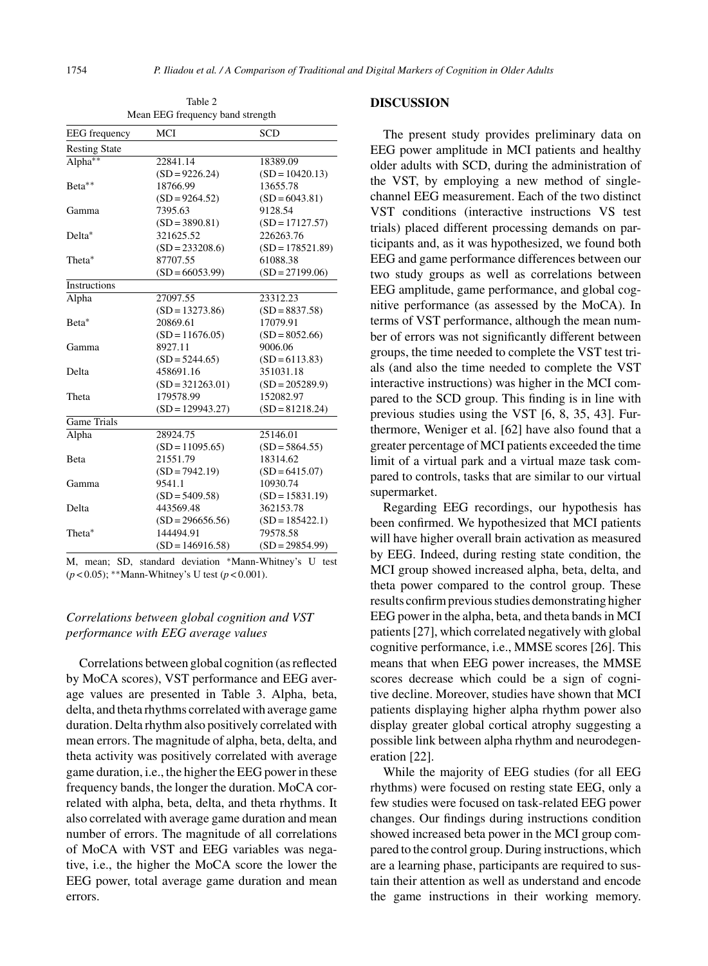| <b>EEG</b> frequency       | MCI                                                                                                                                                                                                                              | <b>SCD</b>                |
|----------------------------|----------------------------------------------------------------------------------------------------------------------------------------------------------------------------------------------------------------------------------|---------------------------|
| <b>Resting State</b>       |                                                                                                                                                                                                                                  |                           |
| Alpha**                    | 22841.14                                                                                                                                                                                                                         | 18389.09                  |
|                            | $(SD = 9226.24)$                                                                                                                                                                                                                 | $(SD = 10420.13)$         |
| Beta**                     | 18766.99                                                                                                                                                                                                                         | 13655.78                  |
|                            | $(SD = 9264.52)$                                                                                                                                                                                                                 | $(SD = 6043.81)$          |
| Gamma                      | 7395.63                                                                                                                                                                                                                          | 9128.54                   |
|                            | $(SD = 3890.81)$                                                                                                                                                                                                                 | $(SD = 17127.57)$         |
| Delta*                     | 321625.52                                                                                                                                                                                                                        | 226263.76                 |
|                            | $(SD = 233208.6)$                                                                                                                                                                                                                | $(SD = 178521.89)$        |
| Theta*                     | 87707.55                                                                                                                                                                                                                         | 61088.38                  |
|                            | $(SD = 66053.99)$                                                                                                                                                                                                                | $(SD = 27199.06)$         |
| <b>Instructions</b>        |                                                                                                                                                                                                                                  |                           |
| Alpha                      | 27097.55                                                                                                                                                                                                                         | 23312.23                  |
|                            | $(SD = 13273.86)$                                                                                                                                                                                                                | $(SD = 8837.58)$          |
| Beta*                      | 20869.61                                                                                                                                                                                                                         | 17079.91                  |
|                            | $(SD = 11676.05)$                                                                                                                                                                                                                | $(SD = 8052.66)$          |
| Gamma                      | 8927.11                                                                                                                                                                                                                          | 9006.06                   |
|                            | $(SD = 5244.65)$                                                                                                                                                                                                                 | $(SD = 6113.83)$          |
| Delta                      | 458691.16                                                                                                                                                                                                                        | 351031.18                 |
|                            | $(SD = 321263.01)$                                                                                                                                                                                                               | $(SD = 205289.9)$         |
| Theta                      | 179578.99                                                                                                                                                                                                                        | 152082.97                 |
|                            | $(SD = 129943.27)$                                                                                                                                                                                                               | $(SD = 81218.24)$         |
| <b>Game Trials</b>         |                                                                                                                                                                                                                                  |                           |
| Alpha                      | 28924.75                                                                                                                                                                                                                         | 25146.01                  |
|                            | $(SD = 11095.65)$                                                                                                                                                                                                                | $(SD = 5864.55)$          |
| <b>Beta</b>                | 21551.79                                                                                                                                                                                                                         | 18314.62                  |
|                            | $(SD = 7942.19)$                                                                                                                                                                                                                 | $(SD = 6415.07)$          |
| Gamma                      | 9541.1                                                                                                                                                                                                                           | 10930.74                  |
|                            | $(SD = 5409.58)$                                                                                                                                                                                                                 | $(SD = 15831.19)$         |
| Delta                      | 443569.48                                                                                                                                                                                                                        | 362153.78                 |
|                            | $(SD = 296656.56)$                                                                                                                                                                                                               | $(SD = 185422.1)$         |
| Theta*                     | 144494.91                                                                                                                                                                                                                        | 79578.58                  |
|                            | $(SD = 146916.58)$                                                                                                                                                                                                               | $(SD = 29854.99)$         |
| $\alpha$<br>$\blacksquare$ | $1 - 1 - 1 - 1$ . The second second in the second second second in the second second second in the second second second in the second second second in the second second second second in the second second second second second | $\mathbf{v}$<br><b>TT</b> |

Table 2 Mean EEG frequency band strength

M, mean; SD, standard deviation ∗Mann-Whitney's U test (*p* < 0.05); ∗∗Mann-Whitney's U test (*p* < 0.001).

# *Correlations between global cognition and VST performance with EEG average values*

Correlations between global cognition (as reflected by MoCA scores), VST performance and EEG average values are presented in Table 3. Alpha, beta, delta, and theta rhythms correlated with average game duration. Delta rhythm also positively correlated with mean errors. The magnitude of alpha, beta, delta, and theta activity was positively correlated with average game duration, i.e., the higher the EEG power in these frequency bands, the longer the duration. MoCA correlated with alpha, beta, delta, and theta rhythms. It also correlated with average game duration and mean number of errors. The magnitude of all correlations of MoCA with VST and EEG variables was negative, i.e., the higher the MoCA score the lower the EEG power, total average game duration and mean errors.

## **DISCUSSION**

The present study provides preliminary data on EEG power amplitude in MCI patients and healthy older adults with SCD, during the administration of the VST, by employing a new method of singlechannel EEG measurement. Each of the two distinct VST conditions (interactive instructions VS test trials) placed different processing demands on participants and, as it was hypothesized, we found both EEG and game performance differences between our two study groups as well as correlations between EEG amplitude, game performance, and global cognitive performance (as assessed by the MoCA). In terms of VST performance, although the mean number of errors was not significantly different between groups, the time needed to complete the VST test trials (and also the time needed to complete the VST interactive instructions) was higher in the MCI compared to the SCD group. This finding is in line with previous studies using the VST [6, 8, 35, 43]. Furthermore, Weniger et al. [62] have also found that a greater percentage of MCI patients exceeded the time limit of a virtual park and a virtual maze task compared to controls, tasks that are similar to our virtual supermarket.

Regarding EEG recordings, our hypothesis has been confirmed. We hypothesized that MCI patients will have higher overall brain activation as measured by EEG. Indeed, during resting state condition, the MCI group showed increased alpha, beta, delta, and theta power compared to the control group. These results confirm previous studies demonstrating higher EEG power in the alpha, beta, and theta bands in MCI patients [27], which correlated negatively with global cognitive performance, i.e., MMSE scores [26]. This means that when EEG power increases, the MMSE scores decrease which could be a sign of cognitive decline. Moreover, studies have shown that MCI patients displaying higher alpha rhythm power also display greater global cortical atrophy suggesting a possible link between alpha rhythm and neurodegeneration [22].

While the majority of EEG studies (for all EEG rhythms) were focused on resting state EEG, only a few studies were focused on task-related EEG power changes. Our findings during instructions condition showed increased beta power in the MCI group compared to the control group. During instructions, which are a learning phase, participants are required to sustain their attention as well as understand and encode the game instructions in their working memory.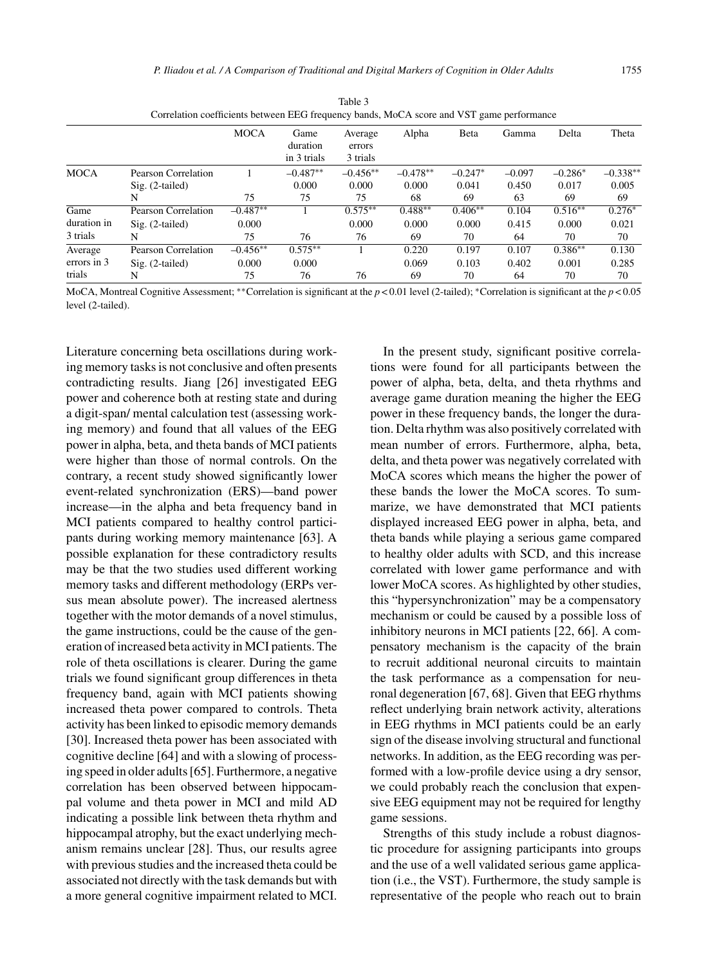| convincia vormencia securem mos negativi canadizioni decir ana visit gane performance |                     |             |                                 |                               |            |           |          |           |            |  |
|---------------------------------------------------------------------------------------|---------------------|-------------|---------------------------------|-------------------------------|------------|-----------|----------|-----------|------------|--|
|                                                                                       |                     | <b>MOCA</b> | Game<br>duration<br>in 3 trials | Average<br>errors<br>3 trials | Alpha      | Beta      | Gamma    | Delta     | Theta      |  |
| <b>MOCA</b>                                                                           | Pearson Correlation |             | $-0.487**$                      | $-0.456**$                    | $-0.478**$ | $-0.247*$ | $-0.097$ | $-0.286*$ | $-0.338**$ |  |
|                                                                                       | $Sig. (2-tailed)$   |             | 0.000                           | 0.000                         | 0.000      | 0.041     | 0.450    | 0.017     | 0.005      |  |
|                                                                                       | N                   | 75          | 75                              | 75                            | 68         | 69        | 63       | 69        | 69         |  |
| Game                                                                                  | Pearson Correlation | $-0.487**$  |                                 | $0.575***$                    | $0.488**$  | $0.406**$ | 0.104    | $0.516**$ | $0.276*$   |  |
| duration in                                                                           | $Sig. (2-tailed)$   | 0.000       |                                 | 0.000                         | 0.000      | 0.000     | 0.415    | 0.000     | 0.021      |  |
| 3 trials                                                                              | N                   | 75          | 76                              | 76                            | 69         | 70        | 64       | 70        | 70         |  |
| Average                                                                               | Pearson Correlation | $-0.456**$  | $0.575***$                      |                               | 0.220      | 0.197     | 0.107    | $0.386**$ | 0.130      |  |
| errors in 3                                                                           | $Sig. (2-tailed)$   | 0.000       | 0.000                           |                               | 0.069      | 0.103     | 0.402    | 0.001     | 0.285      |  |
| trials                                                                                | N                   | 75          | 76                              | 76                            | 69         | 70        | 64       | 70        | 70         |  |

Table 3 Correlation coefficients between EEG frequency bands, MoCA score and VST game performance

MoCA, Montreal Cognitive Assessment; ∗∗Correlation is significant at the *p* < 0.01 level (2-tailed); ∗Correlation is significant at the *p* < 0.05 level (2-tailed).

Literature concerning beta oscillations during working memory tasks is not conclusive and often presents contradicting results. Jiang [26] investigated EEG power and coherence both at resting state and during a digit-span/ mental calculation test (assessing working memory) and found that all values of the EEG power in alpha, beta, and theta bands of MCI patients were higher than those of normal controls. On the contrary, a recent study showed significantly lower event-related synchronization (ERS)—band power increase—in the alpha and beta frequency band in MCI patients compared to healthy control participants during working memory maintenance [63]. A possible explanation for these contradictory results may be that the two studies used different working memory tasks and different methodology (ERPs versus mean absolute power). The increased alertness together with the motor demands of a novel stimulus, the game instructions, could be the cause of the generation of increased beta activity in MCI patients. The role of theta oscillations is clearer. During the game trials we found significant group differences in theta frequency band, again with MCI patients showing increased theta power compared to controls. Theta activity has been linked to episodic memory demands [30]. Increased theta power has been associated with cognitive decline [64] and with a slowing of processing speed in older adults [65]. Furthermore, a negative correlation has been observed between hippocampal volume and theta power in MCI and mild AD indicating a possible link between theta rhythm and hippocampal atrophy, but the exact underlying mechanism remains unclear [28]. Thus, our results agree with previous studies and the increased theta could be associated not directly with the task demands but with a more general cognitive impairment related to MCI.

In the present study, significant positive correlations were found for all participants between the power of alpha, beta, delta, and theta rhythms and average game duration meaning the higher the EEG power in these frequency bands, the longer the duration. Delta rhythm was also positively correlated with mean number of errors. Furthermore, alpha, beta, delta, and theta power was negatively correlated with MoCA scores which means the higher the power of these bands the lower the MoCA scores. To summarize, we have demonstrated that MCI patients displayed increased EEG power in alpha, beta, and theta bands while playing a serious game compared to healthy older adults with SCD, and this increase correlated with lower game performance and with lower MoCA scores. As highlighted by other studies, this "hypersynchronization" may be a compensatory mechanism or could be caused by a possible loss of inhibitory neurons in MCI patients [22, 66]. A compensatory mechanism is the capacity of the brain to recruit additional neuronal circuits to maintain the task performance as a compensation for neuronal degeneration [67, 68]. Given that EEG rhythms reflect underlying brain network activity, alterations in EEG rhythms in MCI patients could be an early sign of the disease involving structural and functional networks. In addition, as the EEG recording was performed with a low-profile device using a dry sensor, we could probably reach the conclusion that expensive EEG equipment may not be required for lengthy game sessions.

Strengths of this study include a robust diagnostic procedure for assigning participants into groups and the use of a well validated serious game application (i.e., the VST). Furthermore, the study sample is representative of the people who reach out to brain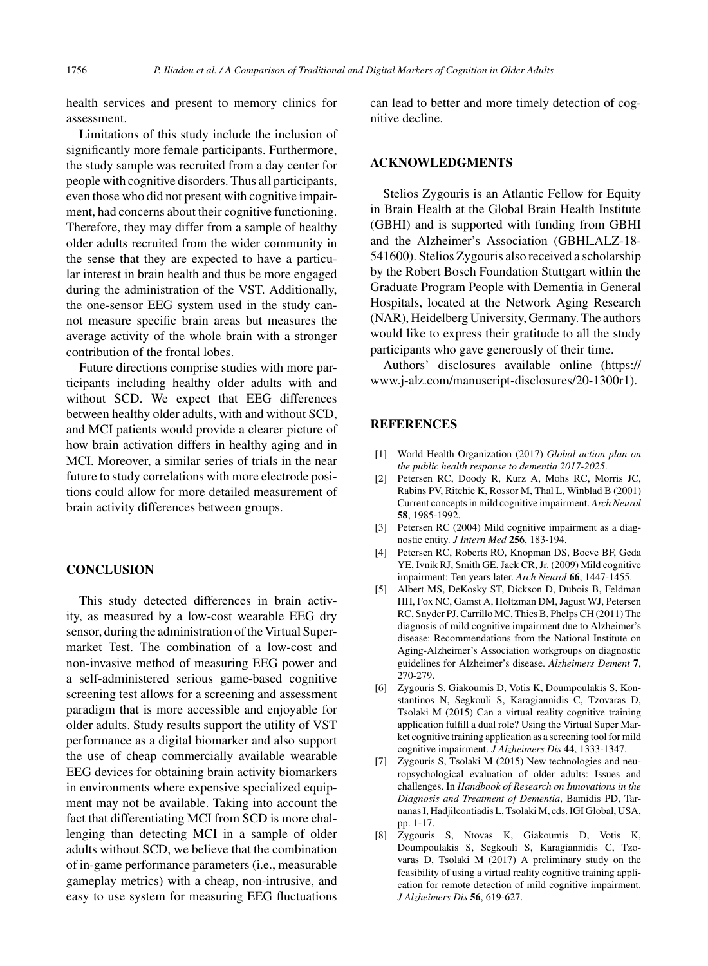health services and present to memory clinics for assessment.

Limitations of this study include the inclusion of significantly more female participants. Furthermore, the study sample was recruited from a day center for people with cognitive disorders. Thus all participants, even those who did not present with cognitive impairment, had concerns about their cognitive functioning. Therefore, they may differ from a sample of healthy older adults recruited from the wider community in the sense that they are expected to have a particular interest in brain health and thus be more engaged during the administration of the VST. Additionally, the one-sensor EEG system used in the study cannot measure specific brain areas but measures the average activity of the whole brain with a stronger contribution of the frontal lobes.

Future directions comprise studies with more participants including healthy older adults with and without SCD. We expect that EEG differences between healthy older adults, with and without SCD, and MCI patients would provide a clearer picture of how brain activation differs in healthy aging and in MCI. Moreover, a similar series of trials in the near future to study correlations with more electrode positions could allow for more detailed measurement of brain activity differences between groups.

## **CONCLUSION**

This study detected differences in brain activity, as measured by a low-cost wearable EEG dry sensor, during the administration of the Virtual Supermarket Test. The combination of a low-cost and non-invasive method of measuring EEG power and a self-administered serious game-based cognitive screening test allows for a screening and assessment paradigm that is more accessible and enjoyable for older adults. Study results support the utility of VST performance as a digital biomarker and also support the use of cheap commercially available wearable EEG devices for obtaining brain activity biomarkers in environments where expensive specialized equipment may not be available. Taking into account the fact that differentiating MCI from SCD is more challenging than detecting MCI in a sample of older adults without SCD, we believe that the combination of in-game performance parameters (i.e., measurable gameplay metrics) with a cheap, non-intrusive, and easy to use system for measuring EEG fluctuations

can lead to better and more timely detection of cognitive decline.

## **ACKNOWLEDGMENTS**

Stelios Zygouris is an Atlantic Fellow for Equity in Brain Health at the Global Brain Health Institute (GBHI) and is supported with funding from GBHI and the Alzheimer's Association (GBHI ALZ-18- 541600). Stelios Zygouris also received a scholarship by the Robert Bosch Foundation Stuttgart within the Graduate Program People with Dementia in General Hospitals, located at the Network Aging Research (NAR), Heidelberg University, Germany. The authors would like to express their gratitude to all the study participants who gave generously of their time.

Authors' disclosures available online [\(https://](https://www.j-alz.com/manuscript-disclosures/20-1300r1) [www.j-alz.com/manuscript-disclosures/20-1300r1\)](https://www.j-alz.com/manuscript-disclosures/20-1300r1).

#### **REFERENCES**

- [1] World Health Organization (2017) *Global action plan on the public health response to dementia 2017-2025*.
- [2] Petersen RC, Doody R, Kurz A, Mohs RC, Morris JC, Rabins PV, Ritchie K, Rossor M, Thal L, Winblad B (2001) Current concepts in mild cognitive impairment. *Arch Neurol* **58**, 1985-1992.
- [3] Petersen RC (2004) Mild cognitive impairment as a diagnostic entity. *J Intern Med* **256**, 183-194.
- [4] Petersen RC, Roberts RO, Knopman DS, Boeve BF, Geda YE, Ivnik RJ, Smith GE, Jack CR, Jr. (2009) Mild cognitive impairment: Ten years later. *Arch Neurol* **66**, 1447-1455.
- [5] Albert MS, DeKosky ST, Dickson D, Dubois B, Feldman HH, Fox NC, Gamst A, Holtzman DM, Jagust WJ, Petersen RC, Snyder PJ, Carrillo MC, Thies B, Phelps CH (2011) The diagnosis of mild cognitive impairment due to Alzheimer's disease: Recommendations from the National Institute on Aging-Alzheimer's Association workgroups on diagnostic guidelines for Alzheimer's disease. *Alzheimers Dement* **7**, 270-279.
- [6] Zygouris S, Giakoumis D, Votis K, Doumpoulakis S, Konstantinos N, Segkouli S, Karagiannidis C, Tzovaras D, Tsolaki M (2015) Can a virtual reality cognitive training application fulfill a dual role? Using the Virtual Super Market cognitive training application as a screening tool for mild cognitive impairment. *J Alzheimers Dis* **44**, 1333-1347.
- [7] Zygouris S, Tsolaki M (2015) New technologies and neuropsychological evaluation of older adults: Issues and challenges. In *Handbook of Research on Innovations in the Diagnosis and Treatment of Dementia*, Bamidis PD, Tarnanas I, Hadjileontiadis L, Tsolaki M, eds. IGI Global, USA, pp. 1-17.
- [8] Zygouris S, Ntovas K, Giakoumis D, Votis K, Doumpoulakis S, Segkouli S, Karagiannidis C, Tzovaras D, Tsolaki M (2017) A preliminary study on the feasibility of using a virtual reality cognitive training application for remote detection of mild cognitive impairment. *J Alzheimers Dis* **56**, 619-627.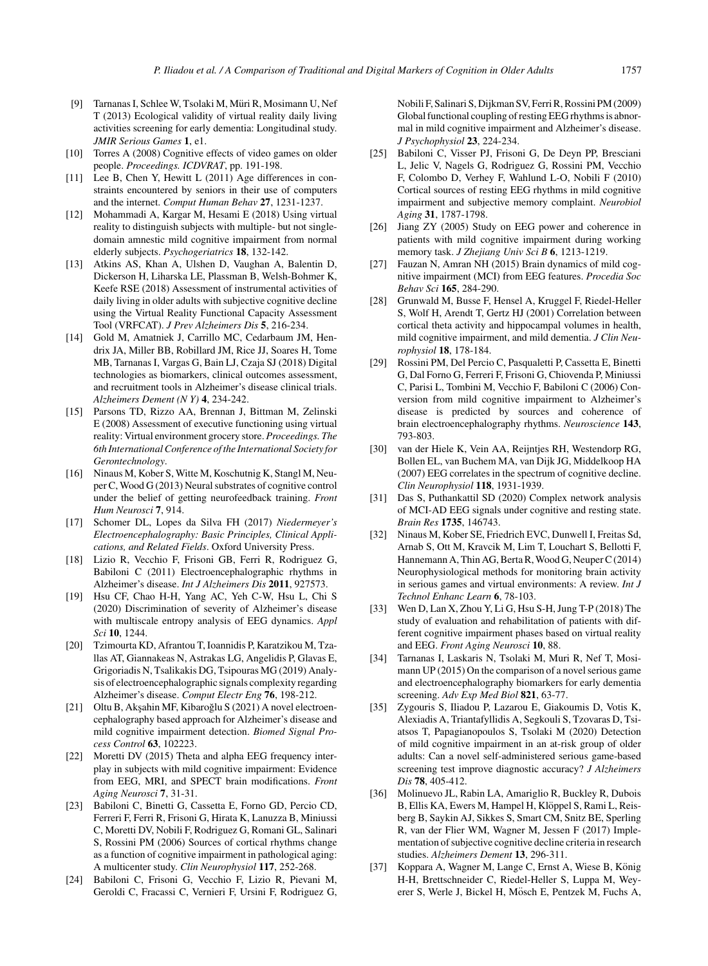- [9] Tarnanas I, Schlee W, Tsolaki M, Müri R, Mosimann U, Nef T (2013) Ecological validity of virtual reality daily living activities screening for early dementia: Longitudinal study. *JMIR Serious Games* **1**, e1.
- [10] Torres A (2008) Cognitive effects of video games on older people. *Proceedings. ICDVRAT*, pp. 191-198.
- [11] Lee B, Chen Y, Hewitt L (2011) Age differences in constraints encountered by seniors in their use of computers and the internet. *Comput Human Behav* **27**, 1231-1237.
- [12] Mohammadi A, Kargar M, Hesami E (2018) Using virtual reality to distinguish subjects with multiple- but not singledomain amnestic mild cognitive impairment from normal elderly subjects. *Psychogeriatrics* **18**, 132-142.
- [13] Atkins AS, Khan A, Ulshen D, Vaughan A, Balentin D, Dickerson H, Liharska LE, Plassman B, Welsh-Bohmer K, Keefe RSE (2018) Assessment of instrumental activities of daily living in older adults with subjective cognitive decline using the Virtual Reality Functional Capacity Assessment Tool (VRFCAT). *J Prev Alzheimers Dis* **5**, 216-234.
- [14] Gold M, Amatniek J, Carrillo MC, Cedarbaum JM, Hendrix JA, Miller BB, Robillard JM, Rice JJ, Soares H, Tome MB, Tarnanas I, Vargas G, Bain LJ, Czaja SJ (2018) Digital technologies as biomarkers, clinical outcomes assessment, and recruitment tools in Alzheimer's disease clinical trials. *Alzheimers Dement (N Y)* **4**, 234-242.
- [15] Parsons TD, Rizzo AA, Brennan J, Bittman M, Zelinski E (2008) Assessment of executive functioning using virtual reality: Virtual environment grocery store. *Proceedings. The 6th International Conference of the International Society for Gerontechnology*.
- [16] Ninaus M, Kober S, Witte M, Koschutnig K, Stangl M, Neuper C, Wood G (2013) Neural substrates of cognitive control under the belief of getting neurofeedback training. *Front Hum Neurosci* **7**, 914.
- [17] Schomer DL, Lopes da Silva FH (2017) *Niedermeyer's Electroencephalography: Basic Principles, Clinical Applications, and Related Fields*. Oxford University Press.
- [18] Lizio R, Vecchio F, Frisoni GB, Ferri R, Rodriguez G, Babiloni C (2011) Electroencephalographic rhythms in Alzheimer's disease. *Int J Alzheimers Dis* **2011**, 927573.
- [19] Hsu CF, Chao H-H, Yang AC, Yeh C-W, Hsu L, Chi S (2020) Discrimination of severity of Alzheimer's disease with multiscale entropy analysis of EEG dynamics. *Appl Sci* **10**, 1244.
- [20] Tzimourta KD, Afrantou T, Ioannidis P, Karatzikou M, Tzallas AT, Giannakeas N, Astrakas LG, Angelidis P, Glavas E, Grigoriadis N, Tsalikakis DG, Tsipouras MG (2019) Analysis of electroencephalographic signals complexity regarding Alzheimer's disease. *Comput Electr Eng* **76**, 198-212.
- [21] Oltu B, Akşahin MF, Kibaroğlu S (2021) A novel electroencephalography based approach for Alzheimer's disease and mild cognitive impairment detection. *Biomed Signal Process Control* **63**, 102223.
- [22] Moretti DV (2015) Theta and alpha EEG frequency interplay in subjects with mild cognitive impairment: Evidence from EEG, MRI, and SPECT brain modifications. *Front Aging Neurosci* **7**, 31-31.
- [23] Babiloni C, Binetti G, Cassetta E, Forno GD, Percio CD, Ferreri F, Ferri R, Frisoni G, Hirata K, Lanuzza B, Miniussi C, Moretti DV, Nobili F, Rodriguez G, Romani GL, Salinari S, Rossini PM (2006) Sources of cortical rhythms change as a function of cognitive impairment in pathological aging: A multicenter study. *Clin Neurophysiol* **117**, 252-268.
- [24] Babiloni C, Frisoni G, Vecchio F, Lizio R, Pievani M, Geroldi C, Fracassi C, Vernieri F, Ursini F, Rodriguez G,

Nobili F, Salinari S, Dijkman SV, Ferri R, Rossini PM (2009) Global functional coupling of resting EEG rhythms is abnormal in mild cognitive impairment and Alzheimer's disease. *J Psychophysiol* **23**, 224-234.

- [25] Babiloni C, Visser PJ, Frisoni G, De Deyn PP, Bresciani L, Jelic V, Nagels G, Rodriguez G, Rossini PM, Vecchio F, Colombo D, Verhey F, Wahlund L-O, Nobili F (2010) Cortical sources of resting EEG rhythms in mild cognitive impairment and subjective memory complaint. *Neurobiol Aging* **31**, 1787-1798.
- [26] Jiang ZY (2005) Study on EEG power and coherence in patients with mild cognitive impairment during working memory task. *J Zhejiang Univ Sci B* **6**, 1213-1219.
- [27] Fauzan N, Amran NH (2015) Brain dynamics of mild cognitive impairment (MCI) from EEG features. *Procedia Soc Behav Sci* **165**, 284-290.
- [28] Grunwald M, Busse F, Hensel A, Kruggel F, Riedel-Heller S, Wolf H, Arendt T, Gertz HJ (2001) Correlation between cortical theta activity and hippocampal volumes in health, mild cognitive impairment, and mild dementia. *J Clin Neurophysiol* **18**, 178-184.
- [29] Rossini PM, Del Percio C, Pasqualetti P, Cassetta E, Binetti G, Dal Forno G, Ferreri F, Frisoni G, Chiovenda P, Miniussi C, Parisi L, Tombini M, Vecchio F, Babiloni C (2006) Conversion from mild cognitive impairment to Alzheimer's disease is predicted by sources and coherence of brain electroencephalography rhythms. *Neuroscience* **143**, 793-803.
- [30] van der Hiele K, Vein AA, Reijntjes RH, Westendorp RG, Bollen EL, van Buchem MA, van Dijk JG, Middelkoop HA (2007) EEG correlates in the spectrum of cognitive decline. *Clin Neurophysiol* **118**, 1931-1939.
- [31] Das S, Puthankattil SD (2020) Complex network analysis of MCI-AD EEG signals under cognitive and resting state. *Brain Res* **1735**, 146743.
- [32] Ninaus M, Kober SE, Friedrich EVC, Dunwell I, Freitas Sd, Arnab S, Ott M, Kravcik M, Lim T, Louchart S, Bellotti F, Hannemann A, Thin AG, Berta R, Wood G, Neuper C (2014) Neurophysiological methods for monitoring brain activity in serious games and virtual environments: A review. *Int J Technol Enhanc Learn* **6**, 78-103.
- [33] Wen D, Lan X, Zhou Y, Li G, Hsu S-H, Jung T-P (2018) The study of evaluation and rehabilitation of patients with different cognitive impairment phases based on virtual reality and EEG. *Front Aging Neurosci* **10**, 88.
- [34] Tarnanas I, Laskaris N, Tsolaki M, Muri R, Nef T, Mosimann UP (2015) On the comparison of a novel serious game and electroencephalography biomarkers for early dementia screening. *Adv Exp Med Biol* **821**, 63-77.
- [35] Zygouris S, Iliadou P, Lazarou E, Giakoumis D, Votis K, Alexiadis A, Triantafyllidis A, Segkouli S, Tzovaras D, Tsiatsos T, Papagianopoulos S, Tsolaki M (2020) Detection of mild cognitive impairment in an at-risk group of older adults: Can a novel self-administered serious game-based screening test improve diagnostic accuracy? *J Alzheimers Dis* **78**, 405-412.
- [36] Molinuevo JL, Rabin LA, Amariglio R, Buckley R, Dubois B, Ellis KA, Ewers M, Hampel H, Klöppel S, Rami L, Reisberg B, Saykin AJ, Sikkes S, Smart CM, Snitz BE, Sperling R, van der Flier WM, Wagner M, Jessen F (2017) Implementation of subjective cognitive decline criteria in research studies. *Alzheimers Dement* **13**, 296-311.
- [37] Koppara A, Wagner M, Lange C, Ernst A, Wiese B, König H-H, Brettschneider C, Riedel-Heller S, Luppa M, Weyerer S, Werle J, Bickel H, Mösch E, Pentzek M, Fuchs A,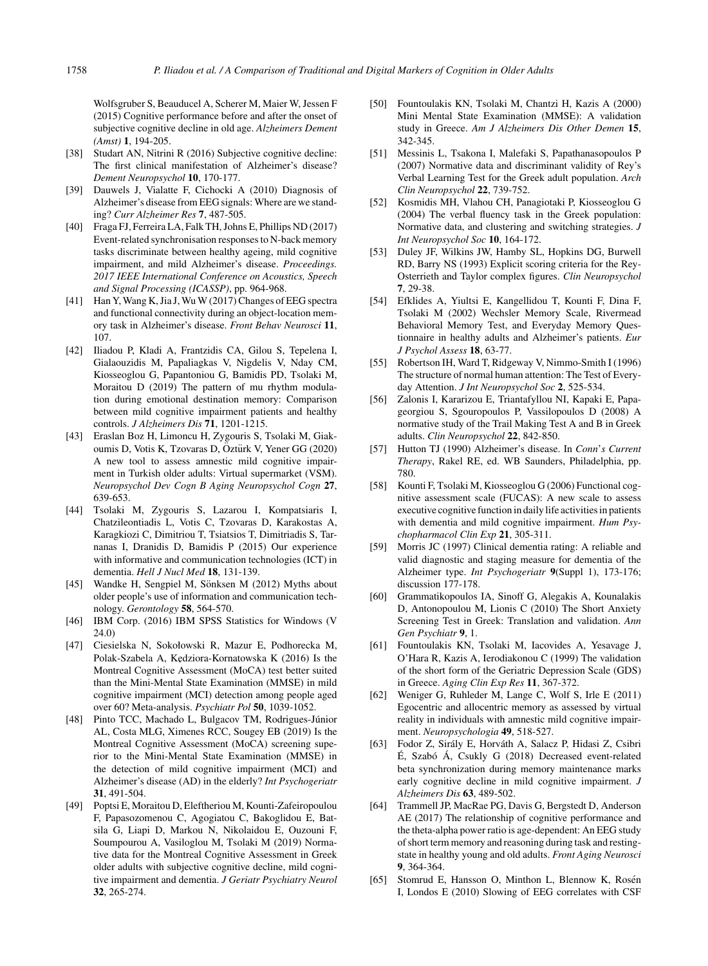Wolfsgruber S, Beauducel A, Scherer M, Maier W, Jessen F (2015) Cognitive performance before and after the onset of subjective cognitive decline in old age. *Alzheimers Dement (Amst)* **1**, 194-205.

- [38] Studart AN, Nitrini R (2016) Subjective cognitive decline: The first clinical manifestation of Alzheimer's disease? *Dement Neuropsychol* **10**, 170-177.
- [39] Dauwels J, Vialatte F, Cichocki A (2010) Diagnosis of Alzheimer's disease from EEG signals: Where are we standing? *Curr Alzheimer Res* **7**, 487-505.
- [40] Fraga FJ, Ferreira LA, Falk TH, Johns E, Phillips ND (2017) Event-related synchronisation responses to N-back memory tasks discriminate between healthy ageing, mild cognitive impairment, and mild Alzheimer's disease. *Proceedings. 2017 IEEE International Conference on Acoustics, Speech and Signal Processing (ICASSP)*, pp. 964-968.
- [41] Han Y, Wang K, Jia J, Wu W (2017) Changes of EEG spectra and functional connectivity during an object-location memory task in Alzheimer's disease. *Front Behav Neurosci* **11**, 107.
- [42] Iliadou P, Kladi A, Frantzidis CA, Gilou S, Tepelena I, Gialaouzidis M, Papaliagkas V, Nigdelis V, Nday CM, Kiosseoglou G, Papantoniou G, Bamidis PD, Tsolaki M, Moraitou D (2019) The pattern of mu rhythm modulation during emotional destination memory: Comparison between mild cognitive impairment patients and healthy controls. *J Alzheimers Dis* **71**, 1201-1215.
- [43] Eraslan Boz H, Limoncu H, Zygouris S, Tsolaki M, Giakoumis D, Votis K, Tzovaras D, Öztürk V, Yener GG (2020) A new tool to assess amnestic mild cognitive impairment in Turkish older adults: Virtual supermarket (VSM). *Neuropsychol Dev Cogn B Aging Neuropsychol Cogn* **27**, 639-653.
- [44] Tsolaki M, Zygouris S, Lazarou I, Kompatsiaris I, Chatzileontiadis L, Votis C, Tzovaras D, Karakostas A, Karagkiozi C, Dimitriou T, Tsiatsios T, Dimitriadis S, Tarnanas I, Dranidis D, Bamidis P (2015) Our experience with informative and communication technologies (ICT) in dementia. *Hell J Nucl Med* **18**, 131-139.
- [45] Wandke H, Sengpiel M, Sönksen M (2012) Myths about older people's use of information and communication technology. *Gerontology* **58**, 564-570.
- [46] IBM Corp. (2016) IBM SPSS Statistics for Windows (V 24.0)
- [47] Ciesielska N, Sokołowski R, Mazur E, Podhorecka M, Polak-Szabela A, Kędziora-Kornatowska K (2016) Is the Montreal Cognitive Assessment (MoCA) test better suited than the Mini-Mental State Examination (MMSE) in mild cognitive impairment (MCI) detection among people aged over 60? Meta-analysis. *Psychiatr Pol* **50**, 1039-1052.
- [48] Pinto TCC, Machado L, Bulgacov TM, Rodrigues-Júnior AL, Costa MLG, Ximenes RCC, Sougey EB (2019) Is the Montreal Cognitive Assessment (MoCA) screening superior to the Mini-Mental State Examination (MMSE) in the detection of mild cognitive impairment (MCI) and Alzheimer's disease (AD) in the elderly? *Int Psychogeriatr* **31**, 491-504.
- [49] Poptsi E, Moraitou D, Eleftheriou M, Kounti-Zafeiropoulou F, Papasozomenou C, Agogiatou C, Bakoglidou E, Batsila G, Liapi D, Markou N, Nikolaidou E, Ouzouni F, Soumpourou A, Vasiloglou M, Tsolaki M (2019) Normative data for the Montreal Cognitive Assessment in Greek older adults with subjective cognitive decline, mild cognitive impairment and dementia. *J Geriatr Psychiatry Neurol* **32**, 265-274.
- [50] Fountoulakis KN, Tsolaki M, Chantzi H, Kazis A (2000) Mini Mental State Examination (MMSE): A validation study in Greece. *Am J Alzheimers Dis Other Demen* **15**, 342-345.
- [51] Messinis L, Tsakona I, Malefaki S, Papathanasopoulos P (2007) Normative data and discriminant validity of Rey's Verbal Learning Test for the Greek adult population. *Arch Clin Neuropsychol* **22**, 739-752.
- [52] Kosmidis MH, Vlahou CH, Panagiotaki P, Kiosseoglou G (2004) The verbal fluency task in the Greek population: Normative data, and clustering and switching strategies. *J Int Neuropsychol Soc* **10**, 164-172.
- [53] Duley JF, Wilkins JW, Hamby SL, Hopkins DG, Burwell RD, Barry NS (1993) Explicit scoring criteria for the Rey-Osterrieth and Taylor complex figures. *Clin Neuropsychol* **7**, 29-38.
- [54] Efklides A, Yiultsi E, Kangellidou T, Kounti F, Dina F, Tsolaki M (2002) Wechsler Memory Scale, Rivermead Behavioral Memory Test, and Everyday Memory Questionnaire in healthy adults and Alzheimer's patients. *Eur J Psychol Assess* **18**, 63-77.
- [55] Robertson IH, Ward T, Ridgeway V, Nimmo-Smith I (1996) The structure of normal human attention: The Test of Everyday Attention. *J Int Neuropsychol Soc* **2**, 525-534.
- [56] Zalonis I, Kararizou E, Triantafyllou NI, Kapaki E, Papageorgiou S, Sgouropoulos P, Vassilopoulos D (2008) A normative study of the Trail Making Test A and B in Greek adults. *Clin Neuropsychol* **22**, 842-850.
- [57] Hutton TJ (1990) Alzheimer's disease. In *Conn*'*s Current Therapy*, Rakel RE, ed. WB Saunders, Philadelphia, pp. 780.
- [58] Kounti F, Tsolaki M, Kiosseoglou G (2006) Functional cognitive assessment scale (FUCAS): A new scale to assess executive cognitive function in daily life activities in patients with dementia and mild cognitive impairment. *Hum Psychopharmacol Clin Exp* **21**, 305-311.
- [59] Morris JC (1997) Clinical dementia rating: A reliable and valid diagnostic and staging measure for dementia of the Alzheimer type. *Int Psychogeriatr* **9**(Suppl 1), 173-176; discussion 177-178.
- [60] Grammatikopoulos IA, Sinoff G, Alegakis A, Kounalakis D, Antonopoulou M, Lionis C (2010) The Short Anxiety Screening Test in Greek: Translation and validation. *Ann Gen Psychiatr* **9**, 1.
- [61] Fountoulakis KN, Tsolaki M, Iacovides A, Yesavage J, O'Hara R, Kazis A, Ierodiakonou C (1999) The validation of the short form of the Geriatric Depression Scale (GDS) in Greece. *Aging Clin Exp Res* **11**, 367-372.
- [62] Weniger G, Ruhleder M, Lange C, Wolf S, Irle E (2011) Egocentric and allocentric memory as assessed by virtual reality in individuals with amnestic mild cognitive impairment. *Neuropsychologia* **49**, 518-527.
- [63] Fodor Z, Sirály E, Horváth A, Salacz P, Hidasi Z, Csibri  $\acute{E}$ , Szabó Á, Csukly G (2018) Decreased event-related beta synchronization during memory maintenance marks early cognitive decline in mild cognitive impairment. *J Alzheimers Dis* **63**, 489-502.
- [64] Trammell JP, MacRae PG, Davis G, Bergstedt D, Anderson AE (2017) The relationship of cognitive performance and the theta-alpha power ratio is age-dependent: An EEG study of short term memory and reasoning during task and restingstate in healthy young and old adults. *Front Aging Neurosci* **9**, 364-364.
- [65] Stomrud E, Hansson O, Minthon L, Blennow K, Rosén I, Londos E (2010) Slowing of EEG correlates with CSF